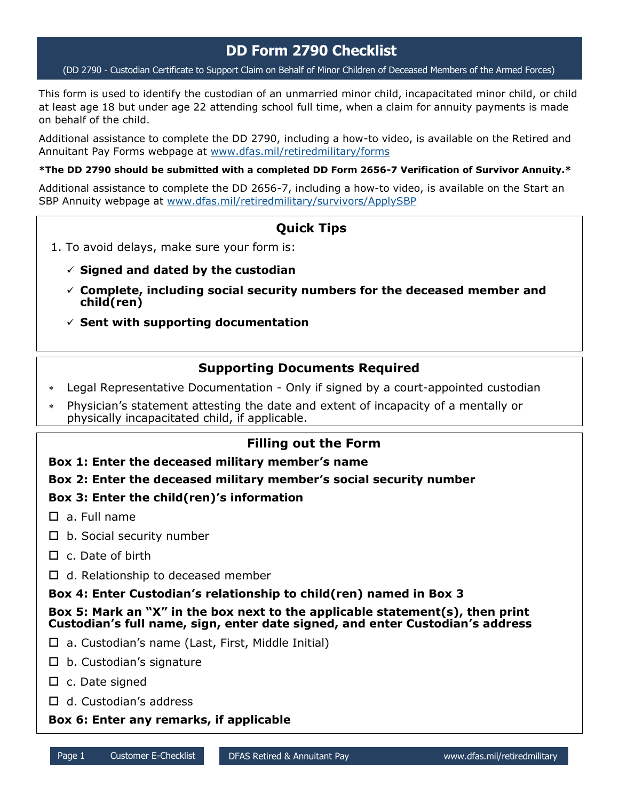# **DD Form 2790 Checklist**

(DD 2790 - Custodian Certificate to Support Claim on Behalf of Minor Children of Deceased Members of the Armed Forces)

This form is used to identify the custodian of an unmarried minor child, incapacitated minor child, or child at least age 18 but under age 22 attending school full time, when a claim for annuity payments is made on behalf of the child.

Additional assistance to complete the DD 2790, including a how-to video, is available on the Retired and Annuitant Pay Forms webpage at [www.dfas.mil/retiredmilitary/forms](https://www.dfas.mil/retiredmilitary/forms)

**\*The DD 2790 should be submitted with a completed DD Form 2656-7 Verification of Survivor Annuity.\***

Additional assistance to complete the DD 2656-7, including a how-to video, is available on the Start an SBP Annuity webpage at [www.dfas.mil/retiredmilitary/survivors/ApplySBP](https://www.dfas.mil/retiredmilitary/survivors/ApplySBP) 

# **Quick Tips**

- 1. To avoid delays, make sure your form is:
	- **Signed and dated by the custodian**
	- **Complete, including social security numbers for the deceased member and child(ren)**
	- **Sent with supporting documentation**

## **Supporting Documents Required**

- Legal Representative Documentation Only if signed by a court-appointed custodian
- Physician's statement attesting the date and extent of incapacity of a mentally or physically incapacitated child, if applicable.

## **Filling out the Form**

## **Box 1: Enter the deceased military member's name**

## **Box 2: Enter the deceased military member's social security number**

## **Box 3: Enter the child(ren)'s information**

- $\square$  a. Full name
- $\square$  b. Social security number
- $\Box$  c. Date of birth
- $\Box$  d. Relationship to deceased member

**Box 4: Enter Custodian's relationship to child(ren) named in Box 3**

**Box 5: Mark an "X" in the box next to the applicable statement(s), then print Custodian's full name, sign, enter date signed, and enter Custodian's address**

- $\Box$  a. Custodian's name (Last, First, Middle Initial)
- $\square$  b. Custodian's signature
- $\square$  c. Date signed
- $\Box$  d. Custodian's address

## **Box 6: Enter any remarks, if applicable**